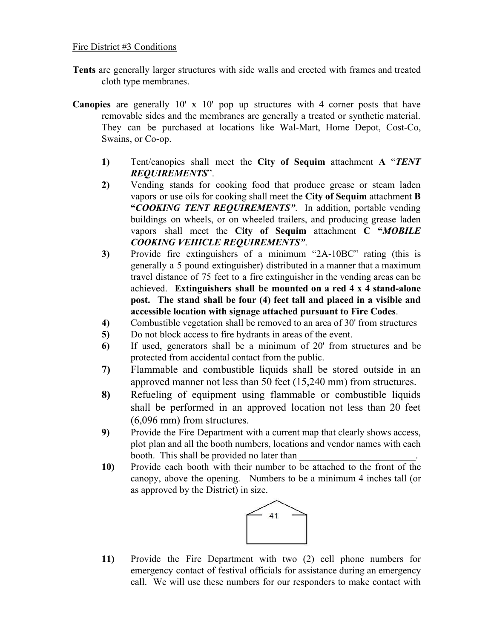## Fire District #3 Conditions

- **Tents** are generally larger structures with side walls and erected with frames and treated cloth type membranes.
- **Canopies** are generally 10' x 10' pop up structures with 4 corner posts that have removable sides and the membranes are generally a treated or synthetic material. They can be purchased at locations like Wal-Mart, Home Depot, Cost-Co, Swains, or Co-op.
	- **1)** Tent/canopies shall meet the **City of Sequim** attachment **A** "*TENT REQUIREMENTS* ".
	- **2)** Vending stands for cooking food that produce grease or steam laden vapors or use oils for cooking shall meet the **City of Sequim** attachment **B "***COOKING TENT REQUIREMENTS"* . In addition, portable vending buildings on wheels, or on wheeled trailers, and producing grease laden vapors shall meet the **City of Sequim** attachment **C "***MOBILE COOKING VEHICLE REQUIREMENTS"* .
	- **3)** Provide fire extinguishers of a minimum "2A-10BC" rating (this is generally a 5 pound extinguisher) distributed in a manner that a maximum travel distance of 75 feet to a fire extinguisher in the vending areas can be achieved. **Extinguishers shall be mounted on a red 4 x 4 stand-alone post. The stand shall be four (4) feet tall and placed in a visible and accessible location with signage attached pursuant to Fire Codes**.
	- **4)** Combustible vegetation shall be removed to an area of 30' from structures
	- **5)** Do not block access to fire hydrants in areas of the event.
	- **6)** If used, generators shall be a minimum of 20' from structures and be protected from accidental contact from the public.
	- **7)** Flammable and combustible liquids shall be stored outside in an approved manner not less than 50 feet (15,240 mm) from structures.
	- **8)** Refueling of equipment using flammable or combustible liquids shall be performed in an approved location not less than 20 feet (6,096 mm) from structures.
	- **9)** Provide the Fire Department with a current map that clearly shows access, plot plan and all the booth numbers, locations and vendor names with each booth. This shall be provided no later than
	- **10)** Provide each booth with their number to be attached to the front of the canopy, above the opening. Numbers to be a minimum 4 inches tall (or as approved by the District) in size.



**11)** Provide the Fire Department with two (2) cell phone numbers for emergency contact of festival officials for assistance during an emergency call. We will use these numbers for our responders to make contact with